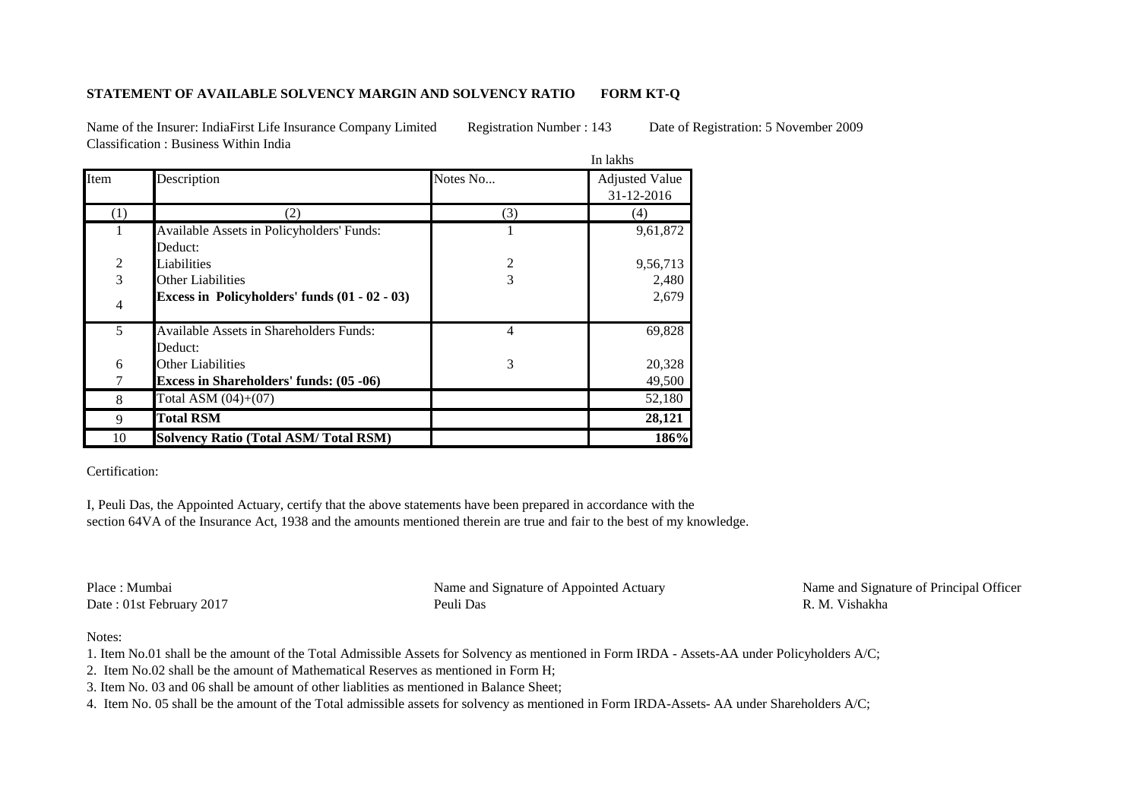## **STATEMENT OF AVAILABLE SOLVENCY MARGIN AND SOLVENCY RATIO FORM KT-Q**

Name of the Insurer: IndiaFirst Life Insurance Company Limited Registration Number : 143 Date of Registration: 5 November 2009 Classification : Business Within India

|      |                                                    | In lakhs |                                     |
|------|----------------------------------------------------|----------|-------------------------------------|
| Item | Description                                        | Notes No | <b>Adjusted Value</b><br>31-12-2016 |
| (1)  | (2)                                                | (3)      | (4)                                 |
|      | Available Assets in Policyholders' Funds:          |          | 9,61,872                            |
|      | Deduct:                                            |          |                                     |
| 2    | Liabilities                                        | 2        | 9,56,713                            |
| 3    | <b>Other Liabilities</b>                           | 3        | 2,480                               |
| 4    | Excess in Policyholders' funds (01 - 02 - 03)      |          | 2,679                               |
| 5    | Available Assets in Shareholders Funds:<br>Deduct: | 4        | 69,828                              |
| 6    | <b>Other Liabilities</b>                           | 3        | 20,328                              |
|      | <b>Excess in Shareholders' funds: (05 -06)</b>     |          | 49,500                              |
| 8    | Total ASM $(04)+(07)$                              |          | 52,180                              |
| 9    | <b>Total RSM</b>                                   |          | 28,121                              |
| 10   | <b>Solvency Ratio (Total ASM/Total RSM)</b>        |          | 186%                                |

Certification:

I, Peuli Das, the Appointed Actuary, certify that the above statements have been prepared in accordance with the section 64VA of the Insurance Act, 1938 and the amounts mentioned therein are true and fair to the best of my knowledge.

Place : Mumbai Name and Signature of Appointed Actuary Name and Signature of Principal Officer Date : 01st February 2017 Peuli Das R. M. Vishakha

## Notes:

1. Item No.01 shall be the amount of the Total Admissible Assets for Solvency as mentioned in Form IRDA - Assets-AA under Policyholders A/C;

2. Item No.02 shall be the amount of Mathematical Reserves as mentioned in Form H;

3. Item No. 03 and 06 shall be amount of other liablities as mentioned in Balance Sheet;

4. Item No. 05 shall be the amount of the Total admissible assets for solvency as mentioned in Form IRDA-Assets- AA under Shareholders A/C;